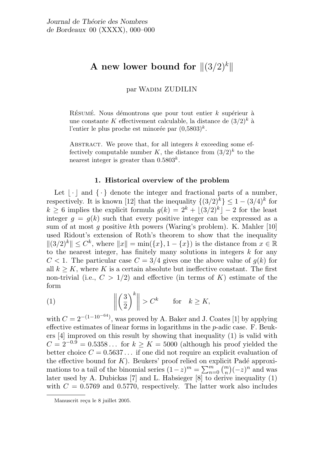# A new lower bound for  $\|(3/2)^k\|$

par Wadim ZUDILIN

RÉSUMÉ. Nous démontrons que pour tout entier  $k$  supérieur à une constante K effectivement calculable, la distance de  $(3/2)^k$  à l'entier le plus proche est minorée par  $(0.5803)^k$ .

ABSTRACT. We prove that, for all integers  $k$  exceeding some effectively computable number K, the distance from  $(3/2)^k$  to the nearest integer is greater than  $0.5803^k$ .

## 1. Historical overview of the problem

Let  $| \cdot |$  and  $\{\cdot\}$  denote the integer and fractional parts of a number, respectively. It is known [12] that the inequality  $\{(3/2)^k\} \leq 1 - (3/4)^k$  for  $k \geq 6$  implies the explicit formula  $g(k) = 2^k + |(3/2)^k| - 2$  for the least integer  $q = q(k)$  such that every positive integer can be expressed as a sum of at most q positive kth powers (Waring's problem). K. Mahler [10] used Ridout's extension of Roth's theorem to show that the inequality  $||(3/2)^k|| \leq C^k$ , where  $||x|| = \min({x}, 1 - {x})$  is the distance from  $x \in \mathbb{R}$ to the nearest integer, has finitely many solutions in integers  $k$  for any  $C < 1$ . The particular case  $C = 3/4$  gives one the above value of  $q(k)$  for all  $k \geq K$ , where K is a certain absolute but ineffective constant. The first non-trivial (i.e.,  $C > 1/2$ ) and effective (in terms of K) estimate of the form

(1) 
$$
\left\| \left( \frac{3}{2} \right)^k \right\| > C^k \quad \text{for} \quad k \ge K,
$$

with  $C = 2^{-(1-10^{-64})}$ , was proved by A. Baker and J. Coates [1] by applying effective estimates of linear forms in logarithms in the p-adic case. F. Beukers [4] improved on this result by showing that inequality (1) is valid with  $C = 2^{-0.9} = 0.5358...$  for  $k > K = 5000$  (although his proof yielded the better choice  $C = 0.5637...$  if one did not require an explicit evaluation of the effective bound for K). Beukers' proof relied on explicit Padé approxithe effective bound for *K*). Betters' proof reflect on explicit Pade approximations to a tail of the binomial series  $(1-z)^m = \sum_{n=0}^m {m \choose n} (-z)^n$  and was later used by A. Dubickas [7] and L. Habsieger [8] to derive inequality (1) with  $C = 0.5769$  and 0.5770, respectively. The latter work also includes

Manuscrit reçu le 8 juillet 2005.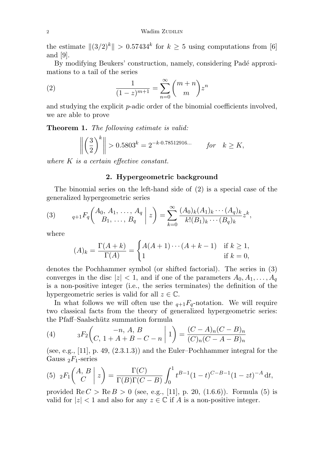the estimate  $||(3/2)^k|| > 0.57434^k$  for  $k \geq 5$  using computations from [6] and [9].

By modifying Beukers' construction, namely, considering Padé approximations to a tail of the series

(2) 
$$
\frac{1}{(1-z)^{m+1}} = \sum_{n=0}^{\infty} {m+n \choose m} z^n
$$

and studying the explicit p-adic order of the binomial coefficients involved, we are able to prove

Theorem 1. The following estimate is valid:

$$
\left\| \left( \frac{3}{2} \right)^k \right\| > 0.5803^k = 2^{-k \cdot 0.78512916...} \quad \text{for} \quad k \ge K,
$$

where K is a certain effective constant.

## 2. Hypergeometric background

The binomial series on the left-hand side of (2) is a special case of the generalized hypergeometric series

(3) 
$$
{}_{q+1}F_q\left(\begin{matrix} A_0, A_1, \ldots, A_q \\ B_1, \ldots, B_q \end{matrix} \bigg| z\right) = \sum_{k=0}^{\infty} \frac{(A_0)_k (A_1)_k \cdots (A_q)_k}{k!(B_1)_k \cdots (B_q)_k} z^k,
$$

where

$$
(A)_k = \frac{\Gamma(A+k)}{\Gamma(A)} = \begin{cases} A(A+1)\cdots(A+k-1) & \text{if } k \ge 1, \\ 1 & \text{if } k = 0, \end{cases}
$$

denotes the Pochhammer symbol (or shifted factorial). The series in (3) converges in the disc  $|z| < 1$ , and if one of the parameters  $A_0, A_1, \ldots, A_q$ is a non-positive integer (i.e., the series terminates) the definition of the hypergeometric series is valid for all  $z \in \mathbb{C}$ .

In what follows we will often use the  $q+1F_q$ -notation. We will require two classical facts from the theory of generalized hypergeometric series: the Pfaff-Saalschütz summation formula  $\sim$ 

(4) 
$$
{}_{3}F_{2}\left(\begin{array}{cc} -n, A, B \\ C, 1 + A + B - C - n \end{array} \middle| 1\right) = \frac{(C - A)_{n}(C - B)_{n}}{(C)_{n}(C - A - B)_{n}}
$$

(see, e.g., [11], p. 49,  $(2.3.1.3)$ ) and the Euler–Pochhammer integral for the Gauss  $_2F_1$ -series

(5) 
$$
{}_2F_1\left(\begin{array}{c|c} A,B & b \\ C & C \end{array}\right) = \frac{\Gamma(C)}{\Gamma(B)\Gamma(C-B)} \int_0^1 t^{B-1} (1-t)^{C-B-1} (1-zt)^{-A} dt
$$
,

provided  $\text{Re } C > \text{Re } B > 0$  (see, e.g., [11], p. 20, (1.6.6)). Formula (5) is valid for  $|z| < 1$  and also for any  $z \in \mathbb{C}$  if A is a non-positive integer.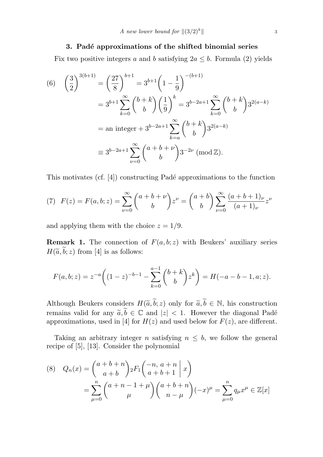### 3. Padé approximations of the shifted binomial series

Fix two positive integers a and b satisfying  $2a \leq b$ . Formula (2) yields

(6) 
$$
\left(\frac{3}{2}\right)^{3(b+1)} = \left(\frac{27}{8}\right)^{b+1} = 3^{b+1} \left(1 - \frac{1}{9}\right)^{-(b+1)}
$$
  
\n
$$
= 3^{b+1} \sum_{k=0}^{\infty} {b+k \choose b} \left(\frac{1}{9}\right)^k = 3^{b-2a+1} \sum_{k=0}^{\infty} {b+k \choose b} 3^{2(a-k)}
$$
  
\n
$$
= an \text{ integer } + 3^{b-2a+1} \sum_{k=a}^{\infty} {b+k \choose b} 3^{2(a-k)}
$$
  
\n
$$
\equiv 3^{b-2a+1} \sum_{\nu=0}^{\infty} {a+b+\nu \choose b} 3^{-2\nu} \pmod{\mathbb{Z}}.
$$

This motivates (cf.  $[4]$ ) constructing Padé approximations to the function

(7) 
$$
F(z) = F(a, b; z) = \sum_{\nu=0}^{\infty} {a+b+\nu \choose b} z^{\nu} = {a+b \choose b} \sum_{\nu=0}^{\infty} \frac{(a+b+1)_{\nu}}{(a+1)_{\nu}} z^{\nu}
$$

and applying them with the choice  $z = 1/9$ .

**Remark 1.** The connection of  $F(a, b; z)$  with Beukers' auxiliary series  $H(\widetilde{a},\widetilde{b}; z)$  from [4] is as follows:

$$
F(a, b; z) = z^{-a} \left( (1 - z)^{-b-1} - \sum_{k=0}^{a-1} {b+k \choose b} z^{k} \right) = H(-a - b - 1, a; z).
$$

Although Beukers considers  $H(\tilde{a},\tilde{b};z)$  only for  $\tilde{a},\tilde{b} \in \mathbb{N}$ , his construction remains valid for any  $\widetilde{a}, \widetilde{b} \in \mathbb{C}$  and  $|z| < 1$ . However the diagonal Padé approximations, used in [4] for  $H(z)$  and used below for  $F(z)$ , are different.

Taking an arbitrary integer n satisfying  $n \leq b$ , we follow the general recipe of [5], [13]. Consider the polynomial

(8) 
$$
Q_n(x) = {a+b+n \choose a+b} {}_2F_1 \binom{-n, a+n}{a+b+1} x
$$

$$
= \sum_{\mu=0}^n {a+n-1+\mu \choose \mu} {a+b+n \choose n-\mu} (-x)^{\mu} = \sum_{\mu=0}^n q_{\mu} x^{\mu} \in \mathbb{Z}[x]
$$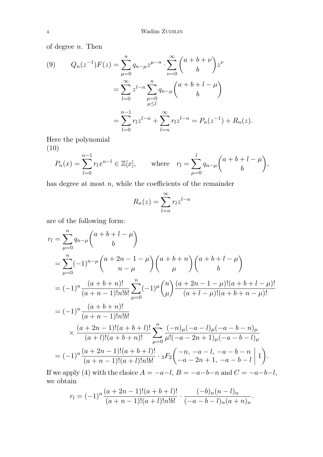of degree  $n$ . Then

(9) 
$$
Q_n(z^{-1})F(z) = \sum_{\mu=0}^n q_{n-\mu} z^{\mu-n} \cdot \sum_{\nu=0}^\infty {a+b+\nu \choose b} z^{\nu}
$$

$$
= \sum_{l=0}^\infty z^{l-n} \sum_{\mu=0}^n q_{n-\mu} {a+b+l-\mu \choose b}
$$

$$
= \sum_{l=0}^{n-1} r_l z^{l-n} + \sum_{l=n}^\infty r_l z^{l-n} = P_n(z^{-1}) + R_n(z).
$$

Here the polynomial (10)

$$
P_n(x) = \sum_{l=0}^{n-1} r_l x^{n-l} \in \mathbb{Z}[x], \quad \text{where} \quad r_l = \sum_{\mu=0}^l q_{n-\mu} {a+b+l-\mu \choose b},
$$

has degree at most  $n$ , while the coefficients of the remainder

$$
R_n(z) = \sum_{l=n}^{\infty} r_l z^{l-n}
$$

are of the following form:

$$
r_{l} = \sum_{\mu=0}^{n} q_{n-\mu} {a+b+l-\mu \choose b}
$$
  
\n
$$
= \sum_{\mu=0}^{n} (-1)^{n-\mu} {a+2n-1-\mu \choose n-\mu} {a+b+n \choose \mu} {a+b+l-\mu \choose b}
$$
  
\n
$$
= (-1)^{n} \frac{(a+b+n)!}{(a+n-1)!n!b!} \sum_{\mu=0}^{n} (-1)^{\mu} {n \choose \mu} \frac{(a+2n-1-\mu)!(a+b+l-\mu)!}{(a+l-\mu)!(a+b+n-\mu)!}
$$
  
\n
$$
= (-1)^{n} \frac{(a+b+n)!}{(a+n-1)!n!b!}
$$
  
\n
$$
\times \frac{(a+2n-1)!(a+b+l)!}{(a+l)!(a+b+n)!} \sum_{\mu=0}^{n} \frac{(-n)_{\mu}(-a-l)_{\mu}(-a-b-n)_{\mu}}{\mu!(-a-2n+1)_{\mu}(-a-b-l)_{\mu}}
$$
  
\n
$$
= (-1)^{n} \frac{(a+2n-1)!(a+b+l)!}{(a+n-1)!(a+l)!n!b!} \cdot {}_3F_2 \left(-n, -a-l, -a-b-n \mid 1\right).
$$

If we apply (4) with the choice  $A = -a-l$ ,  $B = -a-b-n$  and  $C = -a-b-l$ , we obtain

$$
r_l = (-1)^n \frac{(a+2n-1)!(a+b+l)!}{(a+n-1)!(a+l)!n!b!} \cdot \frac{(-b)_n(n-l)_n}{(-a-b-l)_n(a+n)_n}.
$$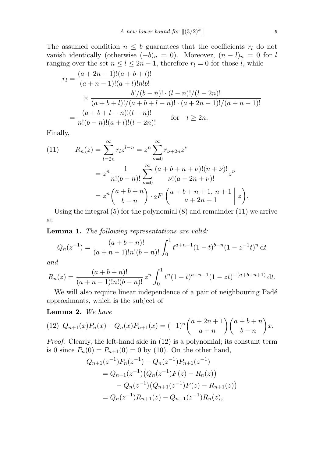The assumed condition  $n \leq b$  guarantees that the coefficients  $r_l$  do not vanish identically (otherwise  $(-b)_n = 0$ ). Moreover,  $(n - l)_n = 0$  for l ranging over the set  $n \leq l \leq 2n-1$ , therefore  $r_l = 0$  for those l, while

$$
r_l = \frac{(a+2n-1)!(a+b+l)!}{(a+n-1)!(a+l)!n!b!} \times \frac{b!/(b-n)! \cdot (l-n)!/(l-2n)!}{(a+b+l)!/(a+b+l-n)! \cdot (a+2n-1)!/(a+n-1)!} = \frac{(a+b+l-n)!(l-n)!}{n!(b-n)!(a+l)!(l-2n)!} \quad \text{for} \quad l \ge 2n.
$$

Finally,

(11) 
$$
R_n(z) = \sum_{l=2n}^{\infty} r_l z^{l-n} = z^n \sum_{\nu=0}^{\infty} r_{\nu+2n} z^{\nu}
$$

$$
= z^n \frac{1}{n!(b-n)!} \sum_{\nu=0}^{\infty} \frac{(a+b+n+\nu)!(n+\nu)!}{\nu!(a+2n+\nu)!} z^{\nu}
$$

$$
= z^n {a+b+n \choose b-n} \cdot {}_2F_1 {a+b+n+1, n+1 \choose a+2n+1} z.
$$

Using the integral (5) for the polynomial (8) and remainder (11) we arrive at

Lemma 1. The following representations are valid:

$$
Q_n(z^{-1}) = \frac{(a+b+n)!}{(a+n-1)!n!(b-n)!} \int_0^1 t^{a+n-1} (1-t)^{b-n} (1-z^{-1}t)^n dt
$$

and

$$
R_n(z) = \frac{(a+b+n)!}{(a+n-1)!n!(b-n)!} z^n \int_0^1 t^n (1-t)^{a+n-1} (1-zt)^{-(a+b+n+1)} dt.
$$

We will also require linear independence of a pair of neighbouring Padé approximants, which is the subject of

Lemma 2. We have

(12) 
$$
Q_{n+1}(x)P_n(x) - Q_n(x)P_{n+1}(x) = (-1)^n \binom{a+2n+1}{a+n} \binom{a+b+n}{b-n} x.
$$

Proof. Clearly, the left-hand side in (12) is a polynomial; its constant term is 0 since  $P_n(0) = P_{n+1}(0) = 0$  by (10). On the other hand,

$$
Q_{n+1}(z^{-1})P_n(z^{-1}) - Q_n(z^{-1})P_{n+1}(z^{-1})
$$
  
=  $Q_{n+1}(z^{-1})(Q_n(z^{-1})F(z) - R_n(z))$   
 $- Q_n(z^{-1})(Q_{n+1}(z^{-1})F(z) - R_{n+1}(z))$   
=  $Q_n(z^{-1})R_{n+1}(z) - Q_{n+1}(z^{-1})R_n(z),$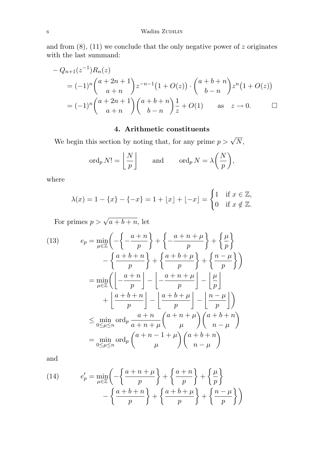and from  $(8)$ ,  $(11)$  we conclude that the only negative power of z originates with the last summand:

$$
- Q_{n+1}(z^{-1})R_n(z)
$$
  
=  $(-1)^n {a+2n+1 \choose a+n} z^{-n-1} (1+O(z)) \cdot {a+b+n \choose b-n} z^n (1+O(z))$   
=  $(-1)^n {a+2n+1 \choose a+n} {a+b+n \choose b-n} \frac{1}{z} + O(1)$  as  $z \to 0$ .

# 4. Arithmetic constituents

We begin this section by noting that, for any prime  $p > \sqrt{N}$ ,

$$
\operatorname{ord}_p N! = \left\lfloor \frac{N}{p} \right\rfloor \quad \text{and} \quad \operatorname{ord}_p N = \lambda \left( \frac{N}{p} \right),
$$

where

$$
\lambda(x) = 1 - \{x\} - \{-x\} = 1 + \lfloor x \rfloor + \lfloor -x \rfloor = \begin{cases} 1 & \text{if } x \in \mathbb{Z}, \\ 0 & \text{if } x \notin \mathbb{Z}. \end{cases}
$$

For primes  $p > \sqrt{a+b+n}$ , let

(13) 
$$
e_p = \min_{\mu \in \mathbb{Z}} \left( -\left\{ -\frac{a+n}{p} \right\} + \left\{ -\frac{a+n+\mu}{p} \right\} + \left\{ \frac{\mu}{p} \right\} -\left\{ \frac{a+b+n}{p} \right\} + \left\{ \frac{a+b+\mu}{p} \right\} + \left\{ \frac{n-\mu}{p} \right\} \right)
$$

$$
= \min_{\mu \in \mathbb{Z}} \left( \left[ -\frac{a+n}{p} \right] - \left[ -\frac{a+n+\mu}{p} \right] - \left[ \frac{\mu}{p} \right] + \left[ \frac{a+b+n}{p} \right] - \left[ \frac{a+b+\mu}{p} \right] - \left[ \frac{n-\mu}{p} \right] \right)
$$

$$
\leq \min_{0 \leq \mu \leq n} \text{ord}_p \frac{a+n}{a+n+\mu} {a+n+\mu \choose \mu} {a+b+n \choose n-\mu}
$$

$$
= \min_{0 \leq \mu \leq n} \text{ord}_p {a+n-1+\mu \choose \mu} {a+b+n \choose n-\mu}
$$

and

(14) 
$$
e'_p = \min_{\mu \in \mathbb{Z}} \left( -\left\{ \frac{a+n+\mu}{p} \right\} + \left\{ \frac{a+n}{p} \right\} + \left\{ \frac{\mu}{p} \right\} -\left\{ \frac{a+b+n}{p} \right\} + \left\{ \frac{a+b+\mu}{p} \right\} + \left\{ \frac{n-\mu}{p} \right\} \right)
$$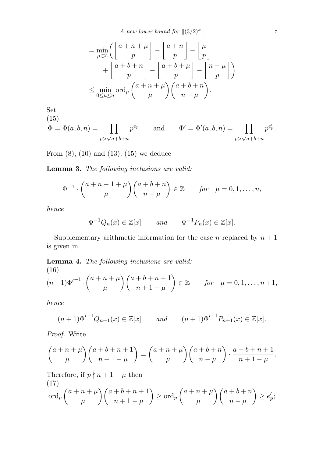A new lower bound for  $\|(3/2)^k\|$ 

$$
= \min_{\mu \in \mathbb{Z}} \left( \left\lfloor \frac{a+n+\mu}{p} \right\rfloor - \left\lfloor \frac{a+n}{p} \right\rfloor - \left\lfloor \frac{\mu}{p} \right\rfloor + \left\lfloor \frac{a+b+n}{p} \right\rfloor - \left\lfloor \frac{a+b+\mu}{p} \right\rfloor - \left\lfloor \frac{n-\mu}{p} \right\rfloor \right)
$$
  

$$
\leq \min_{0 \leq \mu \leq n} \operatorname{ord}_p \left( \frac{a+n+\mu}{\mu} \right) \left( \frac{a+b+n}{n-\mu} \right).
$$

Set  $(15)$ 

(13)  
\n
$$
\Phi = \Phi(a, b, n) = \prod_{p > \sqrt{a+b+n}} p^{e_p}
$$
 and  $\Phi' = \Phi'(a, b, n) = \prod_{p > \sqrt{a+b+n}} p^{e'_p}$ .

From  $(8)$ ,  $(10)$  and  $(13)$ ,  $(15)$  we deduce

Lemma 3. The following inclusions are valid:

$$
\Phi^{-1} \cdot \binom{a+n-1+\mu}{\mu} \binom{a+b+n}{n-\mu} \in \mathbb{Z} \qquad \text{for} \quad \mu = 0, 1, \dots, n,
$$

hence

$$
\Phi^{-1}Q_n(x) \in \mathbb{Z}[x] \quad \text{and} \quad \Phi^{-1}P_n(x) \in \mathbb{Z}[x].
$$

Supplementary arithmetic information for the case n replaced by  $n + 1$ is given in

Lemma 4. The following inclusions are valid:

(16)  
\n
$$
(n+1)\Phi'^{-1} \cdot {a+n+\mu \choose \mu} {a+b+n+1 \choose n+1-\mu} \in \mathbb{Z}
$$
 for  $\mu = 0, 1, ..., n+1$ ,

hence

$$
(n+1)\Phi'^{-1}Q_{n+1}(x) \in \mathbb{Z}[x] \quad \text{and} \quad (n+1)\Phi'^{-1}P_{n+1}(x) \in \mathbb{Z}[x].
$$

Proof. Write

$$
\binom{a+n+\mu}{\mu}\binom{a+b+n+1}{n+1-\mu} = \binom{a+n+\mu}{\mu}\binom{a+b+n}{n-\mu} \cdot \frac{a+b+n+1}{n+1-\mu}
$$

Therefore, if  $p \nmid n+1-\mu$  then (17)  $\operatorname{ord}_p$  $\overline{a}$  $a + n + \mu$  $\mu$  $\bigg\backslash (a + b + n + 1)$  $n+1-\mu$  $\mathbf{r}$  $\geq \operatorname{ord}_p$  $\overline{a}$  $a + n + \mu$  $\mu$  $\bigwedge$   $(a + b + n)$  $n - \mu$  $\mathbf{r}$  $\geq e'_i$ ,<br>p;

.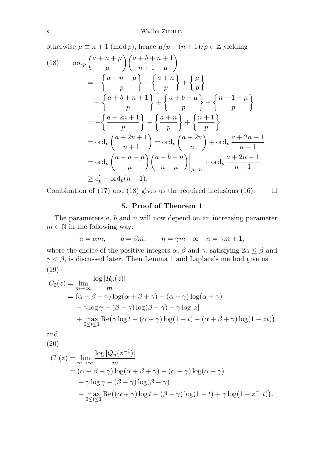otherwise  $\mu\equiv n+1\;(\mbox{mod}\, p),$  hence  $\mu/p-(n+1)/p\in\mathbb{Z}$  yielding  $\overline{a}$ 

(18) 
$$
\operatorname{ord}_p \left( \begin{array}{c} a+n+\mu \\ \mu \end{array} \right) \left( \begin{array}{c} a+b+n+1 \\ n+1-\mu \end{array} \right)
$$
  
\n
$$
= -\left\{ \frac{a+n+\mu}{p} \right\} + \left\{ \frac{a+n}{p} \right\} + \left\{ \frac{\mu}{p} \right\}
$$
  
\n
$$
- \left\{ \frac{a+b+n+1}{p} \right\} + \left\{ \frac{a+b+\mu}{p} \right\} + \left\{ \frac{n+1-\mu}{p} \right\}
$$
  
\n
$$
= -\left\{ \frac{a+2n+1}{p} \right\} + \left\{ \frac{a+n}{p} \right\} + \left\{ \frac{n+1}{p} \right\}
$$
  
\n
$$
= \operatorname{ord}_p \left( \frac{a+2n+1}{n+1} \right) = \operatorname{ord}_p \left( \frac{a+2n}{n} \right) + \operatorname{ord}_p \frac{a+2n+1}{n+1}
$$
  
\n
$$
= \operatorname{ord}_p \left( \frac{a+n+\mu}{\mu} \right) \left( \frac{a+b+n}{n-\mu} \right) \Big|_{\mu=n} + \operatorname{ord}_p \frac{a+2n+1}{n+1}
$$
  
\n
$$
\geq e'_p - \operatorname{ord}_p(n+1).
$$

Combination of (17) and (18) gives us the required inclusions (16).  $\Box$ 

# 5. Proof of Theorem 1

The parameters  $a, b$  and  $n$  will now depend on an increasing parameter  $m \in \mathbb{N}$  in the following way:

$$
a = \alpha m
$$
,  $b = \beta m$ ,  $n = \gamma m$  or  $n = \gamma m + 1$ ,

where the choice of the positive integers  $\alpha$ ,  $\beta$  and  $\gamma$ , satisfying  $2\alpha \leq \beta$  and  $\gamma < \beta$ , is discussed later. Then Lemma 1 and Laplace's method give us (19)

$$
C_0(z) = \lim_{m \to \infty} \frac{\log |R_n(z)|}{m}
$$
  
=  $(\alpha + \beta + \gamma) \log(\alpha + \beta + \gamma) - (\alpha + \gamma) \log(\alpha + \gamma)$   
 $- \gamma \log \gamma - (\beta - \gamma) \log(\beta - \gamma) + \gamma \log |z|$   
+  $\max_{0 \le t \le 1} \text{Re}(\gamma \log t + (\alpha + \gamma) \log(1 - t) - (\alpha + \beta + \gamma) \log(1 - zt))$ 

and

(20)

$$
C_1(z) = \lim_{m \to \infty} \frac{\log |Q_n(z^{-1})|}{m}
$$
  
=  $(\alpha + \beta + \gamma) \log(\alpha + \beta + \gamma) - (\alpha + \gamma) \log(\alpha + \gamma)$   
 $- \gamma \log \gamma - (\beta - \gamma) \log(\beta - \gamma)$   
+  $\max_{0 \le t \le 1} \text{Re}((\alpha + \gamma) \log t + (\beta - \gamma) \log(1 - t) + \gamma \log(1 - z^{-1}t)).$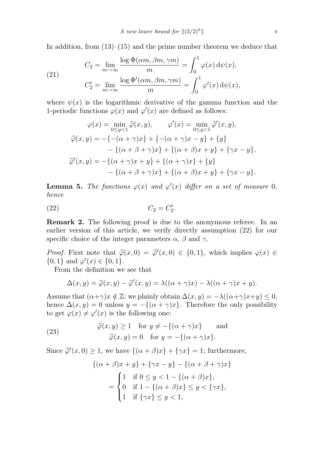In addition, from  $(13)$ – $(15)$  and the prime number theorem we deduce that

(21) 
$$
C_2 = \lim_{m \to \infty} \frac{\log \Phi(\alpha m, \beta m, \gamma m)}{m} = \int_0^1 \varphi(x) d\psi(x),
$$

$$
C_2' = \lim_{m \to \infty} \frac{\log \Phi'(\alpha m, \beta m, \gamma m)}{m} = \int_0^1 \varphi'(x) d\psi(x),
$$

where  $\psi(x)$  is the logarithmic derivative of the gamma function and the 1-periodic functions  $\varphi(x)$  and  $\varphi'(x)$  are defined as follows:

$$
\varphi(x) = \min_{0 \le y < 1} \widehat{\varphi}(x, y), \qquad \varphi'(x) = \min_{0 \le y < 1} \widehat{\varphi}'(x, y),
$$
\n
$$
\widehat{\varphi}(x, y) = -\{-(\alpha + \gamma)x\} + \{-(\alpha + \gamma)x - y\} + \{y\}
$$
\n
$$
-\{(\alpha + \beta + \gamma)x\} + \{(\alpha + \beta)x + y\} + \{\gamma x - y\},
$$
\n
$$
\widehat{\varphi}'(x, y) = -\{(\alpha + \gamma)x + y\} + \{(\alpha + \gamma)x\} + \{y\}
$$
\n
$$
-\{(\alpha + \beta + \gamma)x\} + \{(\alpha + \beta)x + y\} + \{\gamma x - y\}.
$$

**Lemma 5.** The functions  $\varphi(x)$  and  $\varphi'(x)$  differ on a set of measure 0, hence

$$
(22) \t C_2 = C'_2.
$$

Remark 2. The following proof is due to the anonymous referee. In an earlier version of this article, we verify directly assumption (22) for our specific choice of the integer parameters  $\alpha$ ,  $\beta$  and  $\gamma$ .

*Proof.* First note that  $\hat{\varphi}(x, 0) = \hat{\varphi}'(x, 0) \in \{0, 1\}$ , which implies  $\varphi(x) \in$  $\{0,1\}$  and  $\varphi'(x) \in \{0,1\}.$ 

From the definition we see that

$$
\Delta(x,y) = \widehat{\varphi}(x,y) - \widehat{\varphi}'(x,y) = \lambda((\alpha + \gamma)x) - \lambda((\alpha + \gamma)x + y).
$$

Assume that  $(\alpha+\gamma)x \notin \mathbb{Z}$ ; we plainly obtain  $\Delta(x, y) = -\lambda((\alpha+\gamma)x+y) \leq 0$ , hence  $\Delta(x, y) = 0$  unless  $y = -\{(\alpha + \gamma)x\}$ . Therefore the only possibility to get  $\varphi(x) \neq \varphi'(x)$  is the following one:

(23) 
$$
\widehat{\varphi}(x, y) \ge 1 \quad \text{for } y \ne -\{(\alpha + \gamma)x\} \quad \text{and} \quad \widehat{\varphi}(x, y) = 0 \quad \text{for } y = -\{(\alpha + \gamma)x\}.
$$

Since  $\hat{\varphi}'(x,0) \geq 1$ , we have  $\{(\alpha + \beta)x\} + \{\gamma x\} = 1$ ; furthermore,

$$
\{( \alpha + \beta)x + y \} + \{ \gamma x - y \} - \{ (\alpha + \beta + \gamma)x \}
$$
  
= 
$$
\begin{cases} 1 & \text{if } 0 \le y < 1 - \{ (\alpha + \beta)x \}, \\ 0 & \text{if } 1 - \{ (\alpha + \beta)x \} \le y < \{ \gamma x \}, \\ 1 & \text{if } \{ \gamma x \} \le y < 1, \end{cases}
$$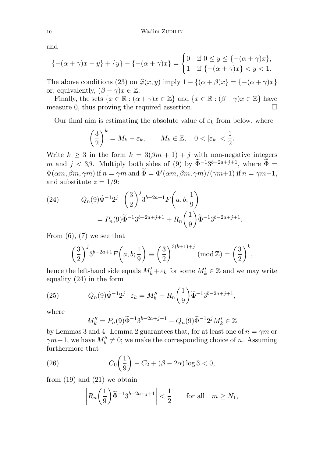and

$$
\{-(\alpha+\gamma)x-y\}+\{y\}-\{-(\alpha+\gamma)x\} = \begin{cases} 0 & \text{if } 0 \le y \le \{-(\alpha+\gamma)x\}, \\ 1 & \text{if } \{-(\alpha+\gamma)x\} < y < 1. \end{cases}
$$

The above conditions (23) on  $\hat{\varphi}(x, y)$  imply  $1 - \{(\alpha + \beta)x\} = \{-(\alpha + \gamma)x\}$ or, equivalently,  $(\beta - \gamma)x \in \mathbb{Z}$ .

Finally, the sets  $\{x \in \mathbb{R} : (\alpha + \gamma)x \in \mathbb{Z}\}\$  and  $\{x \in \mathbb{R} : (\beta - \gamma)x \in \mathbb{Z}\}\$  have measure 0, thus proving the required assertion.  $\Box$ 

Our final aim is estimating the absolute value of  $\varepsilon_k$  from below, where

$$
\left(\frac{3}{2}\right)^k = M_k + \varepsilon_k, \qquad M_k \in \mathbb{Z}, \quad 0 < |\varepsilon_k| < \frac{1}{2}.
$$

Write  $k \geq 3$  in the form  $k = 3(\beta m + 1) + j$  with non-negative integers m and  $j < 3\beta$ . Multiply both sides of (9) by  $\widetilde{\Phi}^{-1}3^{b-2a+j+1}$ , where  $\widetilde{\Phi} =$  $\Phi(\alpha m, \beta m, \gamma m)$  if  $n = \gamma m$  and  $\widetilde{\Phi} = \Phi'(\alpha m, \beta m, \gamma m)/(\gamma m+1)$  if  $n = \gamma m+1$ , and substitute  $z = 1/9$ :

(24) 
$$
Q_n(9)\tilde{\Phi}^{-1}2^j \cdot \left(\frac{3}{2}\right)^j 3^{b-2a+1} F\left(a, b; \frac{1}{9}\right)
$$

$$
= P_n(9)\tilde{\Phi}^{-1}3^{b-2a+j+1} + R_n\left(\frac{1}{9}\right)\tilde{\Phi}^{-1}3^{b-2a+j+1}.
$$

From  $(6)$ ,  $(7)$  we see that

$$
\left(\frac{3}{2}\right)^j 3^{b-2a+1} F\left(a, b; \frac{1}{9}\right) \equiv \left(\frac{3}{2}\right)^{3(b+1)+j} \left(\text{mod}\,\mathbb{Z}\right) = \left(\frac{3}{2}\right)^k,
$$

hence the left-hand side equals  $M'_k + \varepsilon_k$  for some  $M'_k \in \mathbb{Z}$  and we may write equality (24) in the form

(25) 
$$
Q_n(9)\tilde{\Phi}^{-1}2^j \cdot \varepsilon_k = M''_k + R_n\left(\frac{1}{9}\right)\tilde{\Phi}^{-1}3^{b-2a+j+1},
$$

where

$$
M''_k = P_n(9)\tilde{\Phi}^{-1}3^{b-2a+j+1} - Q_n(9)\tilde{\Phi}^{-1}2^j M'_k \in \mathbb{Z}
$$

by Lemmas 3 and 4. Lemma 2 guarantees that, for at least one of  $n = \gamma m$  or  $\gamma m+1$ , we have  $M''_k \neq 0$ ; we make the corresponding choice of n. Assuming furthermore that  $\overline{a}$  $\mathbf{r}$ 

(26) 
$$
C_0(\frac{1}{9}) - C_2 + (\beta - 2\alpha) \log 3 < 0,
$$

from  $(19)$  and  $(21)$  we obtain

$$
\left| R_n\left(\frac{1}{9}\right)\widetilde{\Phi}^{-1}3^{b-2a+j+1}\right| < \frac{1}{2} \qquad \text{for all} \quad m \ge N_1,
$$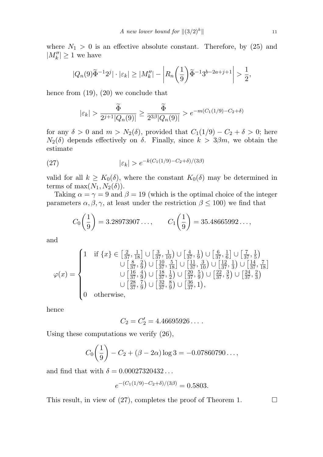where  $N_1 > 0$  is an effective absolute constant. Therefore, by (25) and  $|M''_k| \geq 1$  we have

$$
|Q_n(9)\widetilde{\Phi}^{-1}2^j|\cdot|\varepsilon_k|\geq |M_k''|-\left|R_n\left(\frac{1}{9}\right)\widetilde{\Phi}^{-1}3^{b-2a+j+1}\right|>\frac{1}{2},
$$

hence from (19), (20) we conclude that

$$
|\varepsilon_k| > \frac{\widetilde{\Phi}}{2^{j+1}|Q_n(9)|} \ge \frac{\widetilde{\Phi}}{2^{3\beta}|Q_n(9)|} > e^{-m(C_1(1/9) - C_2 + \delta)}
$$

for any  $\delta > 0$  and  $m > N_2(\delta)$ , provided that  $C_1(1/9) - C_2 + \delta > 0$ ; here  $N_2(\delta)$  depends effectively on  $\delta$ . Finally, since  $k > 3\beta m$ , we obtain the estimate

(27) 
$$
|\varepsilon_k| > e^{-k(C_1(1/9) - C_2 + \delta)/(3\beta)}
$$

valid for all  $k \geq K_0(\delta)$ , where the constant  $K_0(\delta)$  may be determined in terms of max $(N_1, N_2(\delta))$ .

Taking  $\alpha = \gamma = 9$  and  $\beta = 19$  (which is the optimal choice of the integer parameters  $\alpha, \beta, \gamma$ , at least under the restriction  $\beta \leq 100$ ) we find that

$$
C_0\left(\frac{1}{9}\right) = 3.28973907..., \qquad C_1\left(\frac{1}{9}\right) = 35.48665992...,
$$

and

$$
\varphi(x) = \begin{cases}\n1 & \text{if } \{x\} \in \left[\frac{2}{37}, \frac{1}{18}\right] \cup \left[\frac{3}{37}, \frac{1}{10}\right) \cup \left[\frac{4}{37}, \frac{1}{9}\right) \cup \left[\frac{6}{37}, \frac{1}{6}\right] \cup \left[\frac{7}{37}, \frac{1}{5}\right) \\
& \cup \left[\frac{8}{37}, \frac{2}{9}\right) \cup \left[\frac{10}{37}, \frac{5}{18}\right] \cup \left[\frac{11}{37}, \frac{3}{10}\right) \cup \left[\frac{12}{37}, \frac{1}{3}\right) \cup \left[\frac{14}{37}, \frac{7}{18}\right] \\
& \cup \left[\frac{16}{37}, \frac{4}{9}\right) \cup \left[\frac{18}{37}, \frac{1}{2}\right) \cup \left[\frac{20}{37}, \frac{5}{9}\right) \cup \left[\frac{22}{37}, \frac{3}{5}\right) \cup \left[\frac{24}{37}, \frac{2}{3}\right] \\
& \cup \left[\frac{28}{37}, \frac{7}{9}\right) \cup \left[\frac{32}{37}, \frac{8}{9}\right) \cup \left[\frac{36}{37}, 1\right), \\
0 & \text{otherwise,}\n\end{cases}
$$

hence

$$
C_2 = C_2' = 4.46695926\dots.
$$

Using these computations we verify (26),

$$
C_0\left(\frac{1}{9}\right) - C_2 + (\beta - 2\alpha) \log 3 = -0.07860790\ldots,
$$

and find that with  $\delta = 0.00027320432...$ 

$$
e^{-(C_1(1/9) - C_2 + \delta)/(3\beta)} = 0.5803.
$$

This result, in view of (27), completes the proof of Theorem 1.  $\Box$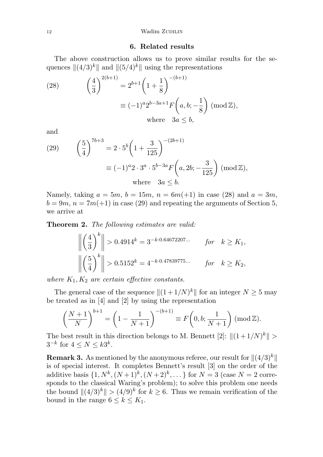### 6. Related results

The above construction allows us to prove similar results for the sequences  $\|(4/3)^k\|$  and  $\|(5/4)^k\|$  using the representations

(28) 
$$
\left(\frac{4}{3}\right)^{2(b+1)} = 2^{b+1} \left(1 + \frac{1}{8}\right)^{-(b+1)} \n\equiv (-1)^a 2^{b-3a+1} F\left(a, b; -\frac{1}{8}\right) \pmod{\mathbb{Z}},
$$
\nwhere  $3a \le b$ ,

and

(29) 
$$
\left(\frac{5}{4}\right)^{7b+3} = 2 \cdot 5^b \left(1 + \frac{3}{125}\right)^{-(2b+1)}
$$

$$
\equiv (-1)^a 2 \cdot 3^a \cdot 5^{b-3a} F\left(a, 2b; -\frac{3}{125}\right) \pmod{\mathbb{Z}},
$$
where  $3a \le b$ .

Namely, taking  $a = 5m$ ,  $b = 15m$ ,  $n = 6m(+1)$  in case (28) and  $a = 3m$ ,  $b = 9m$ ,  $n = 7m(+1)$  in case (29) and repeating the arguments of Section 5, we arrive at

Theorem 2. The following estimates are valid:

$$
\left\| \left( \frac{4}{3} \right)^k \right\| > 0.4914^k = 3^{-k \cdot 0.64672207...} \quad \text{for} \quad k \ge K_1,
$$
  

$$
\left\| \left( \frac{5}{4} \right)^k \right\| > 0.5152^k = 4^{-k \cdot 0.47839775...} \quad \text{for} \quad k \ge K_2,
$$

where  $K_1, K_2$  are certain effective constants.

The general case of the sequence  $||(1 + 1/N)^k||$  for an integer  $N \ge 5$  may be treated as in [4] and [2] by using the representation

$$
\left(\frac{N+1}{N}\right)^{b+1} = \left(1 - \frac{1}{N+1}\right)^{-(b+1)} \equiv F\left(0, b; \frac{1}{N+1}\right) \left(\text{mod}\,\mathbb{Z}\right).
$$

The best result in this direction belongs to M. Bennett  $[2]$ :  $||(1+1/N)^k|| >$  $3^{-k}$  for  $4 \leq N \leq k3^k$ .

**Remark 3.** As mentioned by the anonymous referee, our result for  $\|(4/3)^k\|$ is of special interest. It completes Bennett's result [3] on the order of the additive basis  $\{1, N^k, (N+1)^k, (N+2)^k, ...\}$  for  $N=3$  (case  $N=2$  corresponds to the classical Waring's problem); to solve this problem one needs the bound  $||(4/3)^k|| > (4/9)^k$  for  $k \geq 6$ . Thus we remain verification of the bound in the range  $6 \leq k \leq K_1$ .